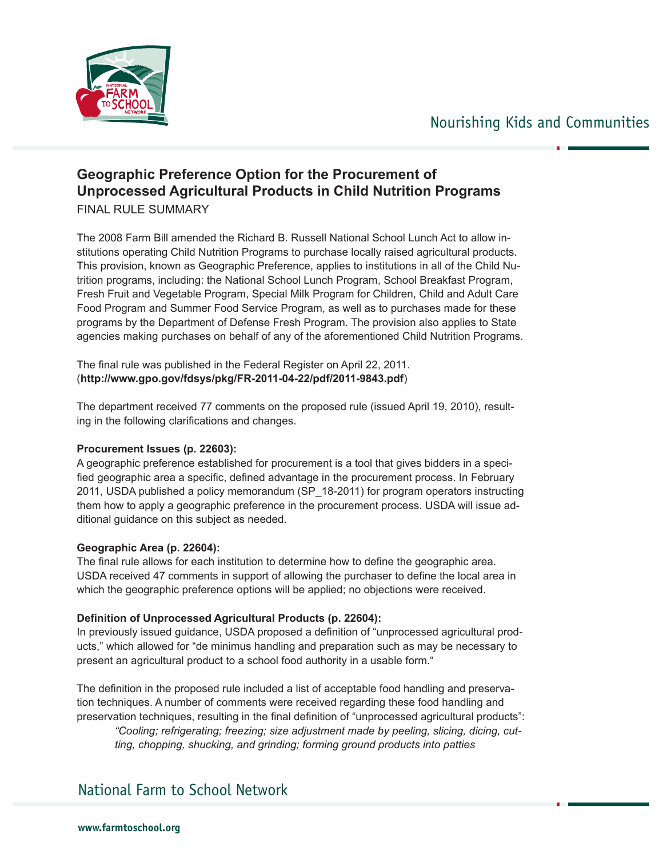



# **Geographic Preference Option for the Procurement of Unprocessed Agricultural Products in Child Nutrition Programs**

FINAL RULE SUMMARY

The 2008 Farm Bill amended the Richard B. Russell National School Lunch Act to allow institutions operating Child Nutrition Programs to purchase locally raised agricultural products. This provision, known as Geographic Preference, applies to institutions in all of the Child Nutrition programs, including: the National School Lunch Program, School Breakfast Program, Fresh Fruit and Vegetable Program, Special Milk Program for Children, Child and Adult Care Food Program and Summer Food Service Program, as well as to purchases made for these programs by the Department of Defense Fresh Program. The provision also applies to State agencies making purchases on behalf of any of the aforementioned Child Nutrition Programs.

The final rule was published in the Federal Register on April 22, 2011. (**http://www.gpo.gov/fdsys/pkg/FR-2011-04-22/pdf/2011-9843.pdf**)

The department received 77 comments on the proposed rule (issued April 19, 2010), resulting in the following clarifications and changes.

#### **Procurement Issues (p. 22603):**

A geographic preference established for procurement is a tool that gives bidders in a specified geographic area a specific, defined advantage in the procurement process. In February 2011, USDA published a policy memorandum (SP\_18-2011) for program operators instructing them how to apply a geographic preference in the procurement process. USDA will issue additional guidance on this subject as needed.

#### **Geographic Area (p. 22604):**

The final rule allows for each institution to determine how to define the geographic area. USDA received 47 comments in support of allowing the purchaser to define the local area in which the geographic preference options will be applied; no objections were received.

#### **Definition of Unprocessed Agricultural Products (p. 22604):**

In previously issued guidance, USDA proposed a definition of "unprocessed agricultural products," which allowed for "de minimus handling and preparation such as may be necessary to present an agricultural product to a school food authority in a usable form."

The definition in the proposed rule included a list of acceptable food handling and preservation techniques. A number of comments were received regarding these food handling and preservation techniques, resulting in the final definition of "unprocessed agricultural products":

*"Cooling; refrigerating; freezing; size adjustment made by peeling, slicing, dicing, cutting, chopping, shucking, and grinding; forming ground products into patties* 

## National Farm to School Network